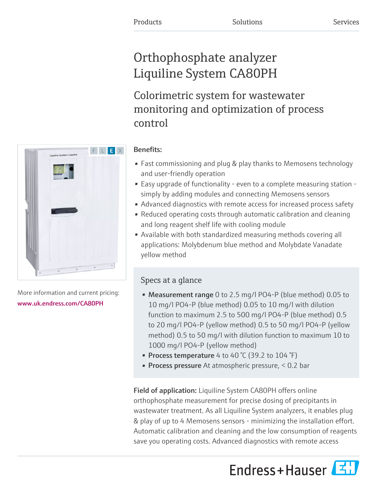# Orthophosphate analyzer Liquiline System CA80PH

Colorimetric system for wastewater monitoring and optimization of process control



- Fast commissioning and plug & play thanks to Memosens technology and user-friendly operation
- Easy upgrade of functionality even to a complete measuring station simply by adding modules and connecting Memosens sensors
- Advanced diagnostics with remote access for increased process safety
- Reduced operating costs through automatic calibration and cleaning and long reagent shelf life with cooling module
- Available with both standardized measuring methods covering all applications: Molybdenum blue method and Molybdate Vanadate yellow method

# Specs at a glance

- Measurement range 0 to 2.5 mg/l PO4-P (blue method) 0.05 to 10 mg/l PO4-P (blue method) 0.05 to 10 mg/l with dilution function to maximum 2.5 to 500 mg/l PO4-P (blue method) 0.5 to 20 mg/l PO4-P (yellow method) 0.5 to 50 mg/l PO4-P (yellow method) 0.5 to 50 mg/l with dilution function to maximum 10 to 1000 mg/l PO4-P (yellow method)
- Process temperature 4 to 40  $\degree$ C (39.2 to 104  $\degree$ F)
- **Process pressure** At atmospheric pressure,  $\leq 0.2$  bar

Field of application: Liquiline System CA80PH offers online orthophosphate measurement for precise dosing of precipitants in wastewater treatment. As all Liquiline System analyzers, it enables plug & play of up to 4 Memosens sensors - minimizing the installation effort. Automatic calibration and cleaning and the low consumption of reagents save you operating costs. Advanced diagnostics with remote access





More information and current pricing: [www.uk.endress.com/CA80PH](https://www.uk.endress.com/CA80PH)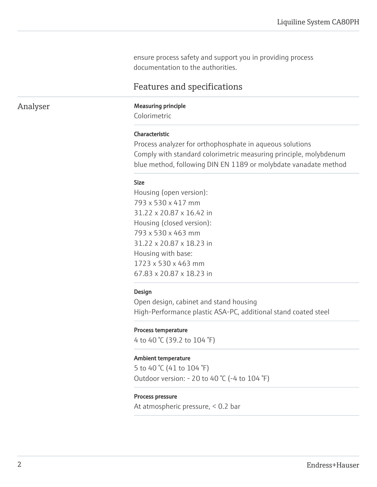ensure process safety and support you in providing process documentation to the authorities.

# Features and specifications

# Analyser Measuring principle

Colorimetric

# Characteristic

Process analyzer for orthophosphate in aqueous solutions Comply with standard colorimetric measuring principle, molybdenum blue method, following DIN EN 1189 or molybdate vanadate method

#### Size

Housing (open version): 793 x 530 x 417 mm 31.22 x 20.87 x 16.42 in Housing (closed version): 793 x 530 x 463 mm 31.22 x 20.87 x 18.23 in Housing with base: 1723 x 530 x 463 mm 67.83 x 20.87 x 18.23 in

# Design

Open design, cabinet and stand housing High-Performance plastic ASA-PC, additional stand coated steel

# Process temperature

4 to 40 °C (39.2 to 104 °F)

#### Ambient temperature

5 to 40 °C (41 to 104 °F) Outdoor version: - 20 to 40 °C (-4 to 104 °F)

# Process pressure

At atmospheric pressure, < 0.2 bar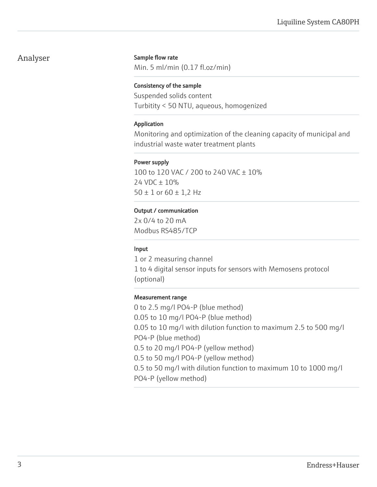# Analyser

# Sample flow rate

Min. 5 ml/min (0.17 fl.oz/min)

# Consistency of the sample

Suspended solids content Turbitity < 50 NTU, aqueous, homogenized

# Application

Monitoring and optimization of the cleaning capacity of municipal and industrial waste water treatment plants

# Power supply

100 to 120 VAC / 200 to 240 VAC ± 10% 24 VDC ± 10%  $50 \pm 1$  or  $60 \pm 1,2$  Hz

# Output / communication

2x 0/4 to 20 mA Modbus RS485/TCP

# Input

1 or 2 measuring channel 1 to 4 digital sensor inputs for sensors with Memosens protocol (optional)

#### Measurement range

0 to 2.5 mg/l PO4-P (blue method) 0.05 to 10 mg/l PO4-P (blue method) 0.05 to 10 mg/l with dilution function to maximum 2.5 to 500 mg/l PO4-P (blue method) 0.5 to 20 mg/l PO4-P (yellow method) 0.5 to 50 mg/l PO4-P (yellow method) 0.5 to 50 mg/l with dilution function to maximum 10 to 1000 mg/l PO4-P (yellow method)